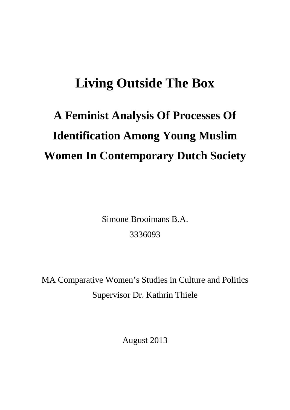## **Living Outside The Box**

# **A Feminist Analysis Of Processes Of Identification Among Young Muslim Women In Contemporary Dutch Society**

Simone Brooimans B.A. 3336093

MA Comparative Women's Studies in Culture and Politics Supervisor Dr. Kathrin Thiele

August 2013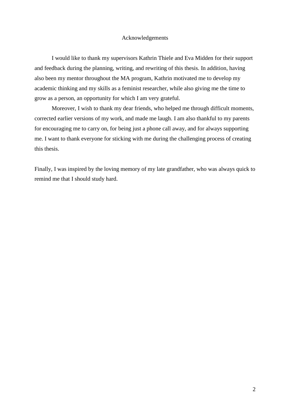#### Acknowledgements

I would like to thank my supervisors Kathrin Thiele and Eva Midden for their support and feedback during the planning, writing, and rewriting of this thesis. In addition, having also been my mentor throughout the MA program, Kathrin motivated me to develop my academic thinking and my skills as a feminist researcher, while also giving me the time to grow as a person, an opportunity for which I am very grateful.

Moreover, I wish to thank my dear friends, who helped me through difficult moments, corrected earlier versions of my work, and made me laugh. I am also thankful to my parents for encouraging me to carry on, for being just a phone call away, and for always supporting me. I want to thank everyone for sticking with me during the challenging process of creating this thesis.

Finally, I was inspired by the loving memory of my late grandfather, who was always quick to remind me that I should study hard.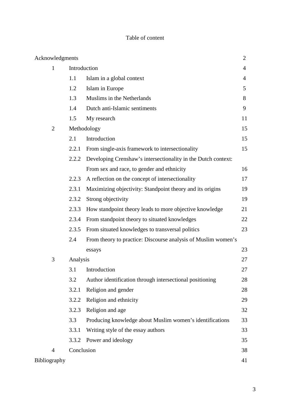#### Table of content

| Acknowledgments |              |                                                               | $\overline{2}$ |
|-----------------|--------------|---------------------------------------------------------------|----------------|
| $\mathbf{1}$    | Introduction |                                                               | $\overline{4}$ |
|                 | 1.1          | Islam in a global context                                     | $\overline{4}$ |
|                 | 1.2          | Islam in Europe                                               | 5              |
|                 | 1.3          | Muslims in the Netherlands                                    | 8              |
|                 | 1.4          | Dutch anti-Islamic sentiments                                 | 9              |
|                 | 1.5          | My research                                                   | 11             |
| $\overline{2}$  | Methodology  |                                                               | 15             |
|                 | 2.1          | Introduction                                                  | 15             |
|                 | 2.2.1        | From single-axis framework to intersectionality               | 15             |
|                 | 2.2.2        | Developing Crenshaw's intersectionality in the Dutch context: |                |
|                 |              | From sex and race, to gender and ethnicity                    | 16             |
|                 | 2.2.3        | A reflection on the concept of intersectionality              | 17             |
|                 | 2.3.1        | Maximizing objectivity: Standpoint theory and its origins     | 19             |
|                 | 2.3.2        | Strong objectivity                                            | 19             |
|                 | 2.3.3        | How standpoint theory leads to more objective knowledge       | 21             |
|                 | 2.3.4        | From standpoint theory to situated knowledges                 | 22             |
|                 | 2.3.5        | From situated knowledges to transversal politics              | 23             |
|                 | 2.4          | From theory to practice: Discourse analysis of Muslim women's |                |
|                 |              | essays                                                        | 23             |
| 3               | Analysis     |                                                               | 27             |
|                 | 3.1          | Introduction                                                  | 27             |
|                 | 3.2          | Author identification through intersectional positioning      | 28             |
|                 | 3.2.1        | Religion and gender                                           | 28             |
|                 | 3.2.2        | Religion and ethnicity                                        | 29             |
|                 | 3.2.3        | Religion and age                                              | 32             |
|                 | 3.3          | Producing knowledge about Muslim women's identifications      | 33             |
|                 | 3.3.1        | Writing style of the essay authors                            | 33             |
|                 | 3.3.2        | Power and ideology                                            | 35             |
| $\overline{4}$  | Conclusion   |                                                               | 38             |
| Bibliography    |              |                                                               | 41             |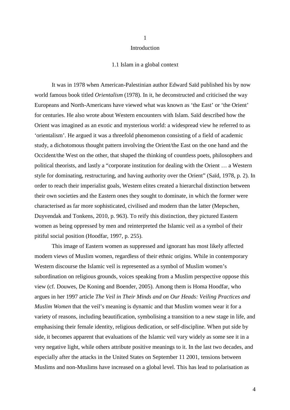#### Introduction

1

#### 1.1 Islam in a global context

It was in 1978 when American-Palestinian author Edward Saïd published his by now world famous book titled *Orientalism* (1978). In it, he deconstructed and criticised the way Europeans and North-Americans have viewed what was known as 'the East' or 'the Orient' for centuries. He also wrote about Western encounters with Islam. Saïd described how the Orient was imagined as an exotic and mysterious world: a widespread view he referred to as 'orientalism'. He argued it was a threefold phenomenon consisting of a field of academic study, a dichotomous thought pattern involving the Orient/the East on the one hand and the Occident/the West on the other, that shaped the thinking of countless poets, philosophers and political theorists, and lastly a "corporate institution for dealing with the Orient … a Western style for dominating, restructuring, and having authority over the Orient" (Saïd, 1978, p. 2). In order to reach their imperialist goals, Western elites created a hierarchal distinction between their own societies and the Eastern ones they sought to dominate, in which the former were characterised as far more sophisticated, civilised and modern than the latter (Mepschen, Duyvendak and Tonkens, 2010, p. 963). To reify this distinction, they pictured Eastern women as being oppressed by men and reinterpreted the Islamic veil as a symbol of their pitiful social position (Hoodfar, 1997, p. 255).

This image of Eastern women as suppressed and ignorant has most likely affected modern views of Muslim women, regardless of their ethnic origins. While in contemporary Western discourse the Islamic veil is represented as a symbol of Muslim women's subordination on religious grounds, voices speaking from a Muslim perspective oppose this view (cf. Douwes, De Koning and Boender, 2005). Among them is Homa Hoodfar, who argues in her 1997 article *The Veil in Their Minds and on Our Heads: Veiling Practices and Muslim Women* that the veil's meaning is dynamic and that Muslim women wear it for a variety of reasons, including beautification, symbolising a transition to a new stage in life, and emphasising their female identity, religious dedication, or self-discipline. When put side by side, it becomes apparent that evaluations of the Islamic veil vary widely as some see it in a very negative light, while others attribute positive meanings to it. In the last two decades, and especially after the attacks in the United States on September 11 2001, tensions between Muslims and non-Muslims have increased on a global level. This has lead to polarisation as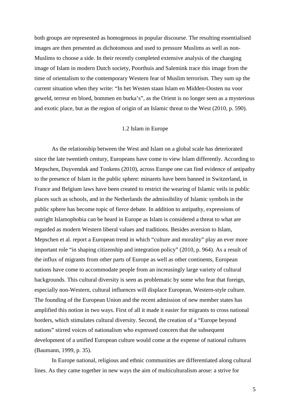both groups are represented as homogenous in popular discourse. The resulting essentialised images are then presented as dichotomous and used to pressure Muslims as well as non-Muslims to choose a side. In their recently completed extensive analysis of the changing image of Islam in modern Dutch society, Poorthuis and Salemink trace this image from the time of orientalism to the contemporary Western fear of Muslim terrorism. They sum up the current situation when they write: "In het Westen staan Islam en Midden-Oosten nu voor geweld, terreur en bloed, bommen en burka's", as the Orient is no longer seen as a mysterious and exotic place, but as the region of origin of an Islamic threat to the West (2010, p. 590).

#### 1.2 Islam in Europe

As the relationship between the West and Islam on a global scale has deteriorated since the late twentieth century, Europeans have come to view Islam differently. According to Mepschen, Duyvendak and Tonkens (2010), across Europe one can find evidence of antipathy to the presence of Islam in the public sphere: minarets have been banned in Switzerland, in France and Belgium laws have been created to restrict the wearing of Islamic veils in public places such as schools, and in the Netherlands the admissibility of Islamic symbols in the public sphere has become topic of fierce debate. In addition to antipathy, expressions of outright Islamophobia can be heard in Europe as Islam is considered a threat to what are regarded as modern Western liberal values and traditions. Besides aversion to Islam, Mepschen et al. report a European trend in which "culture and morality" play an ever more important role "in shaping citizenship and integration policy" (2010, p. 964). As a result of the influx of migrants from other parts of Europe as well as other continents, European nations have come to accommodate people from an increasingly large variety of cultural backgrounds. This cultural diversity is seen as problematic by some who fear that foreign, especially non-Western, cultural influences will displace European, Western-style culture. The founding of the European Union and the recent admission of new member states has amplified this notion in two ways. First of all it made it easier for migrants to cross national borders, which stimulates cultural diversity. Second, the creation of a "Europe beyond nations" stirred voices of nationalism who expressed concern that the subsequent development of a unified European culture would come at the expense of national cultures (Baumann, 1999, p. 35).

In Europe national, religious and ethnic communities are differentiated along cultural lines. As they came together in new ways the aim of multiculturalism arose: a strive for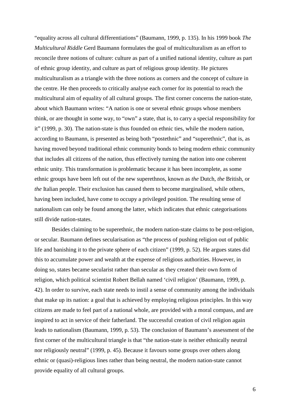"equality across all cultural differentiations" (Baumann, 1999, p. 135). In his 1999 book *The Multicultural Riddle* Gerd Baumann formulates the goal of multiculturalism as an effort to reconcile three notions of culture: culture as part of a unified national identity, culture as part of ethnic group identity, and culture as part of religious group identity. He pictures multiculturalism as a triangle with the three notions as corners and the concept of culture in the centre. He then proceeds to critically analyse each corner for its potential to reach the multicultural aim of equality of all cultural groups. The first corner concerns the nation-state, about which Baumann writes: "A nation is one or several ethnic groups whose members think, or are thought in some way, to "own" a state, that is, to carry a special responsibility for it" (1999, p. 30). The nation-state is thus founded on ethnic ties, while the modern nation, according to Baumann, is presented as being both "postethnic" and "superethnic", that is, as having moved beyond traditional ethnic community bonds to being modern ethnic community that includes all citizens of the nation, thus effectively turning the nation into one coherent ethnic unity. This transformation is problematic because it has been incomplete, as some ethnic groups have been left out of the new superethnos, known as *the* Dutch, *the* British, or *the* Italian people. Their exclusion has caused them to become marginalised, while others, having been included, have come to occupy a privileged position. The resulting sense of nationalism can only be found among the latter, which indicates that ethnic categorisations still divide nation-states.

Besides claiming to be superethnic, the modern nation-state claims to be post-religion, or secular. Baumann defines secularisation as "the process of pushing religion out of public life and banishing it to the private sphere of each citizen" (1999, p. 52). He argues states did this to accumulate power and wealth at the expense of religious authorities. However, in doing so, states became secularist rather than secular as they created their own form of religion, which political scientist Robert Bellah named 'civil religion' (Baumann, 1999, p. 42). In order to survive, each state needs to instil a sense of community among the individuals that make up its nation: a goal that is achieved by employing religious principles. In this way citizens are made to feel part of a national whole, are provided with a moral compass, and are inspired to act in service of their fatherland. The successful creation of civil religion again leads to nationalism (Baumann, 1999, p. 53). The conclusion of Baumann's assessment of the first corner of the multicultural triangle is that "the nation-state is neither ethnically neutral nor religiously neutral" (1999, p. 45). Because it favours some groups over others along ethnic or (quasi)-religious lines rather than being neutral, the modern nation-state cannot provide equality of all cultural groups.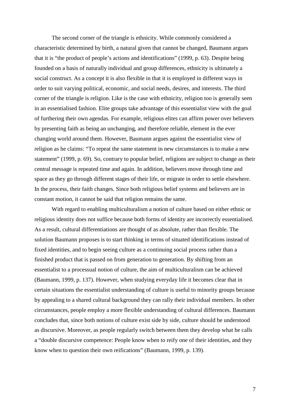The second corner of the triangle is ethnicity. While commonly considered a characteristic determined by birth, a natural given that cannot be changed, Baumann argues that it is "the product of people's actions and identifications" (1999, p. 63). Despite being founded on a basis of naturally individual and group differences, ethnicity is ultimately a social construct. As a concept it is also flexible in that it is employed in different ways in order to suit varying political, economic, and social needs, desires, and interests. The third corner of the triangle is religion. Like is the case with ethnicity, religion too is generally seen in an essentialised fashion. Elite groups take advantage of this essentialist view with the goal of furthering their own agendas. For example, religious elites can affirm power over believers by presenting faith as being an unchanging, and therefore reliable, element in the ever changing world around them. However, Baumann argues against the essentialist view of religion as he claims: "To repeat the same statement in new circumstances is to make a new statement" (1999, p. 69). So, contrary to popular belief, religions are subject to change as their central message is repeated time and again. In addition, believers move through time and space as they go through different stages of their life, or migrate in order to settle elsewhere. In the process, their faith changes. Since both religious belief systems and believers are in constant motion, it cannot be said that religion remains the same.

With regard to enabling multiculturalism a notion of culture based on either ethnic or religious identity does not suffice because both forms of identity are incorrectly essentialised. As a result, cultural differentiations are thought of as absolute, rather than flexible. The solution Baumann proposes is to start thinking in terms of situated identifications instead of fixed identities, and to begin seeing culture as a continuing social process rather than a finished product that is passed on from generation to generation. By shifting from an essentialist to a processual notion of culture, the aim of multiculturalism can be achieved (Baumann, 1999, p. 137). However, when studying everyday life it becomes clear that in certain situations the essentialist understanding of culture is useful to minority groups because by appealing to a shared cultural background they can rally their individual members. In other circumstances, people employ a more flexible understanding of cultural differences. Baumann concludes that, since both notions of culture exist side by side, culture should be understood as discursive. Moreover, as people regularly switch between them they develop what he calls a "double discursive competence: People know when to reify one of their identities, and they know when to question their own reifications" (Baumann, 1999, p. 139).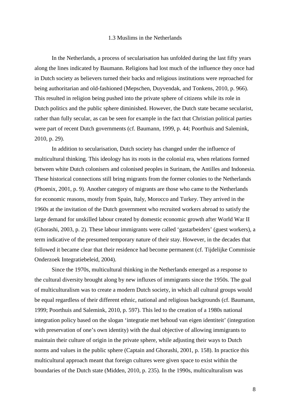#### 1.3 Muslims in the Netherlands

In the Netherlands, a process of secularisation has unfolded during the last fifty years along the lines indicated by Baumann. Religions had lost much of the influence they once had in Dutch society as believers turned their backs and religious institutions were reproached for being authoritarian and old-fashioned (Mepschen, Duyvendak, and Tonkens, 2010, p. 966). This resulted in religion being pushed into the private sphere of citizens while its role in Dutch politics and the public sphere diminished. However, the Dutch state became secularist, rather than fully secular, as can be seen for example in the fact that Christian political parties were part of recent Dutch governments (cf. Baumann, 1999, p. 44; Poorthuis and Salemink, 2010, p. 29).

In addition to secularisation, Dutch society has changed under the influence of multicultural thinking. This ideology has its roots in the colonial era, when relations formed between white Dutch colonisers and colonised peoples in Surinam, the Antilles and Indonesia. These historical connections still bring migrants from the former colonies to the Netherlands (Phoenix, 2001, p. 9). Another category of migrants are those who came to the Netherlands for economic reasons, mostly from Spain, Italy, Morocco and Turkey. They arrived in the 1960s at the invitation of the Dutch government who recruited workers abroad to satisfy the large demand for unskilled labour created by domestic economic growth after World War II (Ghorashi, 2003, p. 2). These labour immigrants were called 'gastarbeiders' (guest workers), a term indicative of the presumed temporary nature of their stay. However, in the decades that followed it became clear that their residence had become permanent (cf. Tijdelijke Commissie Onderzoek Integratiebeleid, 2004).

Since the 1970s, multicultural thinking in the Netherlands emerged as a response to the cultural diversity brought along by new influxes of immigrants since the 1950s. The goal of multiculturalism was to create a modern Dutch society, in which all cultural groups would be equal regardless of their different ethnic, national and religious backgrounds (cf. Baumann, 1999; Poorthuis and Salemink, 2010, p. 597). This led to the creation of a 1980s national integration policy based on the slogan 'integratie met behoud van eigen identiteit' (integration with preservation of one's own identity) with the dual objective of allowing immigrants to maintain their culture of origin in the private sphere, while adjusting their ways to Dutch norms and values in the public sphere (Captain and Ghorashi, 2001, p. 158). In practice this multicultural approach meant that foreign cultures were given space to exist within the boundaries of the Dutch state (Midden, 2010, p. 235). In the 1990s, multiculturalism was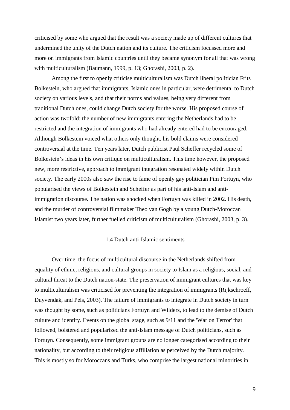criticised by some who argued that the result was a society made up of different cultures that undermined the unity of the Dutch nation and its culture. The criticism focussed more and more on immigrants from Islamic countries until they became synonym for all that was wrong with multiculturalism (Baumann, 1999, p. 13; Ghorashi, 2003, p. 2).

Among the first to openly criticise multiculturalism was Dutch liberal politician Frits Bolkestein, who argued that immigrants, Islamic ones in particular, were detrimental to Dutch society on various levels, and that their norms and values, being very different from traditional Dutch ones, could change Dutch society for the worse. His proposed course of action was twofold: the number of new immigrants entering the Netherlands had to be restricted and the integration of immigrants who had already entered had to be encouraged. Although Bolkestein voiced what others only thought, his bold claims were considered controversial at the time. Ten years later, Dutch publicist Paul Scheffer recycled some of Bolkestein's ideas in his own critique on multiculturalism. This time however, the proposed new, more restrictive, approach to immigrant integration resonated widely within Dutch society. The early 2000s also saw the rise to fame of openly gay politician Pim Fortuyn, who popularised the views of Bolkestein and Scheffer as part of his anti-Islam and antiimmigration discourse. The nation was shocked when Fortuyn was killed in 2002. His death, and the murder of controversial filmmaker Theo van Gogh by a young Dutch-Moroccan Islamist two years later, further fuelled criticism of multiculturalism (Ghorashi, 2003, p. 3).

#### 1.4 Dutch anti-Islamic sentiments

Over time, the focus of multicultural discourse in the Netherlands shifted from equality of ethnic, religious, and cultural groups in society to Islam as a religious, social, and cultural threat to the Dutch nation-state. The preservation of immigrant cultures that was key to multiculturalism was criticised for preventing the integration of immigrants (Rijkschroeff, Duyvendak, and Pels, 2003). The failure of immigrants to integrate in Dutch society in turn was thought by some, such as politicians Fortuyn and Wilders, to lead to the demise of Dutch culture and identity. Events on the global stage, such as 9/11 and the 'War on Terror' that followed, bolstered and popularized the anti-Islam message of Dutch politicians, such as Fortuyn. Consequently, some immigrant groups are no longer categorised according to their nationality, but according to their religious affiliation as perceived by the Dutch majority. This is mostly so for Moroccans and Turks, who comprise the largest national minorities in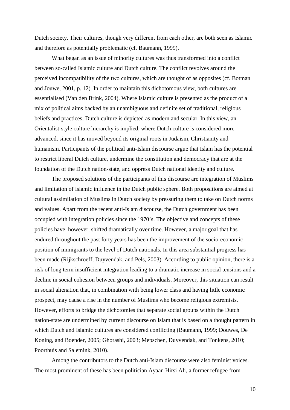Dutch society. Their cultures, though very different from each other, are both seen as Islamic and therefore as potentially problematic (cf. Baumann, 1999).

What began as an issue of minority cultures was thus transformed into a conflict between so-called Islamic culture and Dutch culture. The conflict revolves around the perceived incompatibility of the two cultures, which are thought of as opposites (cf. Botman and Jouwe, 2001, p. 12). In order to maintain this dichotomous view, both cultures are essentialised (Van den Brink, 2004). Where Islamic culture is presented as the product of a mix of political aims backed by an unambiguous and definite set of traditional, religious beliefs and practices, Dutch culture is depicted as modern and secular. In this view, an Orientalist-style culture hierarchy is implied, where Dutch culture is considered more advanced, since it has moved beyond its original roots in Judaism, Christianity and humanism. Participants of the political anti-Islam discourse argue that Islam has the potential to restrict liberal Dutch culture, undermine the constitution and democracy that are at the foundation of the Dutch nation-state, and oppress Dutch national identity and culture.

The proposed solutions of the participants of this discourse are integration of Muslims and limitation of Islamic influence in the Dutch public sphere. Both propositions are aimed at cultural assimilation of Muslims in Dutch society by pressuring them to take on Dutch norms and values. Apart from the recent anti-Islam discourse, the Dutch government has been occupied with integration policies since the 1970's. The objective and concepts of these policies have, however, shifted dramatically over time. However, a major goal that has endured throughout the past forty years has been the improvement of the socio-economic position of immigrants to the level of Dutch nationals. In this area substantial progress has been made (Rijkschroeff, Duyvendak, and Pels, 2003). According to public opinion, there is a risk of long term insufficient integration leading to a dramatic increase in social tensions and a decline in social cohesion between groups and individuals. Moreover, this situation can result in social alienation that, in combination with being lower class and having little economic prospect, may cause a rise in the number of Muslims who become religious extremists. However, efforts to bridge the dichotomies that separate social groups within the Dutch nation-state are undermined by current discourse on Islam that is based on a thought pattern in which Dutch and Islamic cultures are considered conflicting (Baumann, 1999; Douwes, De Koning, and Boender, 2005; Ghorashi, 2003; Mepschen, Duyvendak, and Tonkens, 2010; Poorthuis and Salemink, 2010).

Among the contributors to the Dutch anti-Islam discourse were also feminist voices. The most prominent of these has been politician Ayaan Hirsi Ali, a former refugee from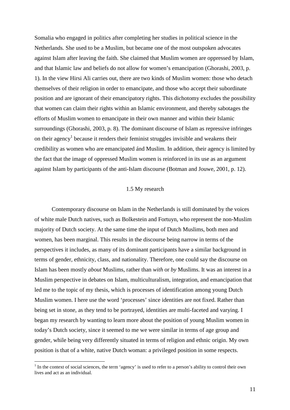Somalia who engaged in politics after completing her studies in political science in the Netherlands. She used to be a Muslim, but became one of the most outspoken advocates against Islam after leaving the faith. She claimed that Muslim women are oppressed by Islam, and that Islamic law and beliefs do not allow for women's emancipation (Ghorashi, 2003, p. 1). In the view Hirsi Ali carries out, there are two kinds of Muslim women: those who detach themselves of their religion in order to emancipate, and those who accept their subordinate position and are ignorant of their emancipatory rights. This dichotomy excludes the possibility that women can claim their rights within an Islamic environment, and thereby sabotages the efforts of Muslim women to emancipate in their own manner and within their Islamic surroundings (Ghorashi, 2003, p. 8). The dominant discourse of Islam as repressive infringes on their agency<sup>1</sup> because it renders their feminist struggles invisible and weakens their credibility as women who are emancipated ánd Muslim. In addition, their agency is limited by the fact that the image of oppressed Muslim women is reinforced in its use as an argument against Islam by participants of the anti-Islam discourse (Botman and Jouwe, 2001, p. 12).

#### 1.5 My research

Contemporary discourse on Islam in the Netherlands is still dominated by the voices of white male Dutch natives, such as Bolkestein and Fortuyn, who represent the non-Muslim majority of Dutch society. At the same time the input of Dutch Muslims, both men and women, has been marginal. This results in the discourse being narrow in terms of the perspectives it includes, as many of its dominant participants have a similar background in terms of gender, ethnicity, class, and nationality. Therefore, one could say the discourse on Islam has been mostly *about* Muslims, rather than *with* or *by* Muslims. It was an interest in a Muslim perspective in debates on Islam, multiculturalism, integration, and emancipation that led me to the topic of my thesis, which is processes of identification among young Dutch Muslim women. I here use the word 'processes' since identities are not fixed. Rather than being set in stone, as they tend to be portrayed, identities are multi-faceted and varying. I began my research by wanting to learn more about the position of young Muslim women in today's Dutch society, since it seemed to me we were similar in terms of age group and gender, while being very differently situated in terms of religion and ethnic origin. My own position is that of a white, native Dutch woman: a privileged position in some respects.

 $\overline{a}$ 

 $1$  In the context of social sciences, the term 'agency' is used to refer to a person's ability to control their own lives and act as an individual.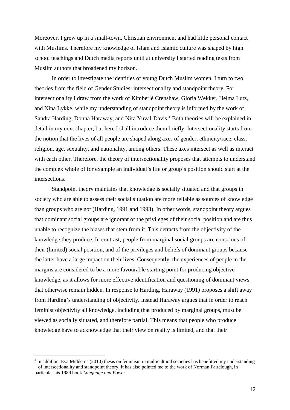Moreover, I grew up in a small-town, Christian environment and had little personal contact with Muslims. Therefore my knowledge of Islam and Islamic culture was shaped by high school teachings and Dutch media reports until at university I started reading texts from Muslim authors that broadened my horizon.

In order to investigate the identities of young Dutch Muslim women, I turn to two theories from the field of Gender Studies: intersectionality and standpoint theory. For intersectionality I draw from the work of Kimberlé Crenshaw, Gloria Wekker, Helma Lutz, and Nina Lykke, while my understanding of standpoint theory is informed by the work of Sandra Harding, Donna Haraway, and Nira Yuval-Davis.<sup>2</sup> Both theories will be explained in detail in my next chapter, but here I shall introduce them briefly. Intersectionality starts from the notion that the lives of all people are shaped along axes of gender, ethnicity/race, class, religion, age, sexuality, and nationality, among others. These axes intersect as well as interact with each other. Therefore, the theory of intersectionality proposes that attempts to understand the complex whole of for example an individual's life or group's position should start at the intersections.

Standpoint theory maintains that knowledge is socially situated and that groups in society who are able to assess their social situation are more reliable as sources of knowledge than groups who are not (Harding, 1991 and 1993). In other words, standpoint theory argues that dominant social groups are ignorant of the privileges of their social position and are thus unable to recognize the biases that stem from it. This detracts from the objectivity of the knowledge they produce. In contrast, people from marginal social groups are conscious of their (limited) social position, and of the privileges and beliefs of dominant groups because the latter have a large impact on their lives. Consequently, the experiences of people in the margins are considered to be a more favourable starting point for producing objective knowledge, as it allows for more effective identification and questioning of dominant views that otherwise remain hidden. In response to Harding, Haraway (1991) proposes a shift away from Harding's understanding of objectivity. Instead Haraway argues that in order to reach feminist objectivity all knowledge, including that produced by marginal groups, must be viewed as socially situated, and therefore partial. This means that people who produce knowledge have to acknowledge that their view on reality is limited, and that their

 $\overline{a}$ 

 $2$  In addition, Eva Midden's (2010) thesis on feminism in multicultural societies has benefitted my understanding of intersectionality and standpoint theory. It has also pointed me to the work of Norman Fairclough, in particular his 1989 book *Language and Power.*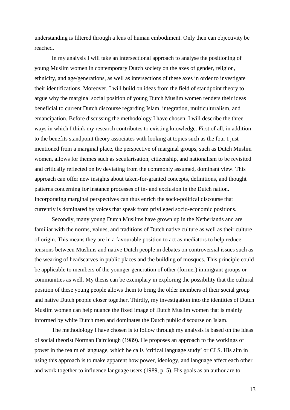understanding is filtered through a lens of human embodiment. Only then can objectivity be reached.

In my analysis I will take an intersectional approach to analyse the positioning of young Muslim women in contemporary Dutch society on the axes of gender, religion, ethnicity, and age/generations, as well as intersections of these axes in order to investigate their identifications. Moreover, I will build on ideas from the field of standpoint theory to argue why the marginal social position of young Dutch Muslim women renders their ideas beneficial to current Dutch discourse regarding Islam, integration, multiculturalism, and emancipation. Before discussing the methodology I have chosen, I will describe the three ways in which I think my research contributes to existing knowledge. First of all, in addition to the benefits standpoint theory associates with looking at topics such as the four I just mentioned from a marginal place, the perspective of marginal groups, such as Dutch Muslim women, allows for themes such as secularisation, citizenship, and nationalism to be revisited and critically reflected on by deviating from the commonly assumed, dominant view. This approach can offer new insights about taken-for-granted concepts, definitions, and thought patterns concerning for instance processes of in- and exclusion in the Dutch nation. Incorporating marginal perspectives can thus enrich the socio-political discourse that currently is dominated by voices that speak from privileged socio-economic positions.

Secondly, many young Dutch Muslims have grown up in the Netherlands and are familiar with the norms, values, and traditions of Dutch native culture as well as their culture of origin. This means they are in a favourable position to act as mediators to help reduce tensions between Muslims and native Dutch people in debates on controversial issues such as the wearing of headscarves in public places and the building of mosques. This principle could be applicable to members of the younger generation of other (former) immigrant groups or communities as well. My thesis can be exemplary in exploring the possibility that the cultural position of these young people allows them to bring the older members of their social group and native Dutch people closer together. Thirdly, my investigation into the identities of Dutch Muslim women can help nuance the fixed image of Dutch Muslim women that is mainly informed by white Dutch men and dominates the Dutch public discourse on Islam.

The methodology I have chosen is to follow through my analysis is based on the ideas of social theorist Norman Fairclough (1989). He proposes an approach to the workings of power in the realm of language, which he calls 'critical language study' or CLS. His aim in using this approach is to make apparent how power, ideology, and language affect each other and work together to influence language users (1989, p. 5). His goals as an author are to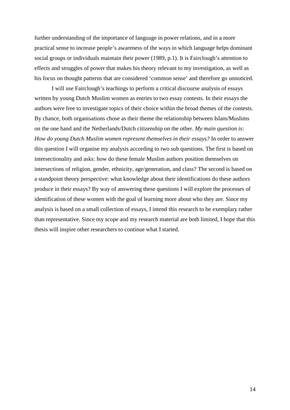further understanding of the importance of language in power relations, and in a more practical sense to increase people's awareness of the ways in which language helps dominant social groups or individuals maintain their power (1989, p.1). It is Fairclough's attention to effects and struggles of power that makes his theory relevant to my investigation, as well as his focus on thought patterns that are considered 'common sense' and therefore go unnoticed.

I will use Fairclough's teachings to perform a critical discourse analysis of essays written by young Dutch Muslim women as entries to two essay contests. In their essays the authors were free to investigate topics of their choice within the broad themes of the contests. By chance, both organisations chose as their theme the relationship between Islam/Muslims on the one hand and the Netherlands/Dutch citizenship on the other. *My main question is: How do young Dutch Muslim women represent themselves in their essays?* In order to answer this question I will organise my analysis according to two sub questions. The first is based on intersectionality and asks: how do these female Muslim authors position themselves on intersections of religion, gender, ethnicity, age/generation, and class? The second is based on a standpoint theory perspective: what knowledge about their identifications do these authors produce in their essays? By way of answering these questions I will explore the processes of identification of these women with the goal of learning more about who they are. Since my analysis is based on a small collection of essays, I intend this research to be exemplary rather than representative. Since my scope and my research material are both limited, I hope that this thesis will inspire other researchers to continue what I started.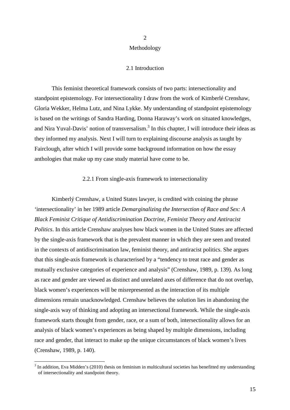#### Methodology

2

#### 2.1 Introduction

This feminist theoretical framework consists of two parts: intersectionality and standpoint epistemology. For intersectionality I draw from the work of Kimberlé Crenshaw, Gloria Wekker, Helma Lutz, and Nina Lykke. My understanding of standpoint epistemology is based on the writings of Sandra Harding, Donna Haraway's work on situated knowledges, and Nira Yuval-Davis' notion of transversalism.<sup>3</sup> In this chapter, I will introduce their ideas as they informed my analysis. Next I will turn to explaining discourse analysis as taught by Fairclough, after which I will provide some background information on how the essay anthologies that make up my case study material have come to be.

#### 2.2.1 From single-axis framework to intersectionality

Kimberlý Crenshaw, a United States lawyer, is credited with coining the phrase 'intersectionality' in her 1989 article *Demarginalizing the Intersection of Race and Sex: A Black Feminist Critique of Antidiscrimination Doctrine, Feminist Theory and Antiracist Politics*. In this article Crenshaw analyses how black women in the United States are affected by the single-axis framework that is the prevalent manner in which they are seen and treated in the contexts of antidiscrimination law, feminist theory, and antiracist politics. She argues that this single-axis framework is characterised by a "tendency to treat race and gender as mutually exclusive categories of experience and analysis" (Crenshaw, 1989, p. 139). As long as race and gender are viewed as distinct and unrelated axes of difference that do not overlap, black women's experiences will be misrepresented as the interaction of its multiple dimensions remain unacknowledged. Crenshaw believes the solution lies in abandoning the single-axis way of thinking and adopting an intersectional framework. While the single-axis framework starts thought from gender, race, or a sum of both, intersectionality allows for an analysis of black women's experiences as being shaped by multiple dimensions, including race and gender, that interact to make up the unique circumstances of black women's lives (Crenshaw, 1989, p. 140).

 $\overline{a}$ 

15

 $3$  In addition, Eva Midden's (2010) thesis on feminism in multicultural societies has benefitted my understanding of intersectionality and standpoint theory.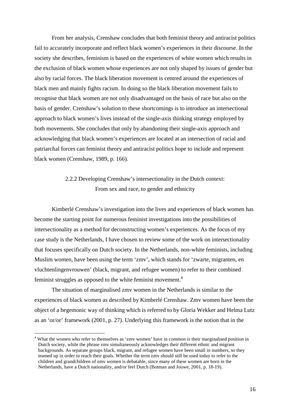From her analysis, Crenshaw concludes that both feminist theory and antiracist politics fail to accurately incorporate and reflect black women's experiences in their discourse. In the society she describes, feminism is based on the experiences of white women which results in the exclusion of black women whose experiences are not only shaped by issues of gender but also by racial forces. The black liberation movement is centred around the experiences of black men and mainly fights racism. In doing so the black liberation movement fails to recognise that black women are not only disadvantaged on the basis of race but also on the basis of gender. Crenshaw's solution to these shortcomings is to introduce an intersectional approach to black women's lives instead of the single-axis thinking strategy employed by both movements. She concludes that only by abandoning their single-axis approach and acknowledging that black women's experiences are located at an intersection of racial and patriarchal forces can feminist theory and antiracist politics hope to include and represent black women (Crenshaw, 1989, p. 166).

#### 2.2.2 Developing Crenshaw's intersectionality in the Dutch context: From sex and race, to gender and ethnicity

Kimberlé Crenshaw's investigation into the lives and experiences of black women has become the starting point for numerous feminist investigations into the possibilities of intersectionality as a method for deconstructing women's experiences. As the focus of my case study is the Netherlands, I have chosen to review some of the work on intersectionality that focuses specifically on Dutch society. In the Netherlands, non-white feminists, including Muslim women, have been using the term 'zmv', which stands for 'zwarte, migranten, en vluchtenlingenvrouwen' (black, migrant, and refugee women) to refer to their combined feminist struggles as opposed to the white feminist movement.<sup>4</sup>

The situation of marginalised zmv women in the Netherlands is similar to the experiences of black women as described by Kimberlé Crenshaw. Zmv women have been the object of a hegemonic way of thinking which is referred to by Gloria Wekker and Helma Lutz as an 'or/or' framework (2001, p. 27). Underlying this framework is the notion that in the

 $\overline{a}$ 

<sup>&</sup>lt;sup>4</sup> What the women who refer to themselves as 'zmv women' have in common is their marginalised position in Dutch society, while the phrase zmv simultaneously acknowledges their different ethnic and migrant backgrounds. As separate groups black, migrant, and refugee women have been small in numbers, so they teamed up in order to reach their goals. Whether the term zmv should still be used today to refer to the children and grandchildren of zmv women is debatable, since many of these women are born in the Netherlands, have a Dutch nationality, and/or feel Dutch (Botman and Jouwe, 2001, p. 18-19).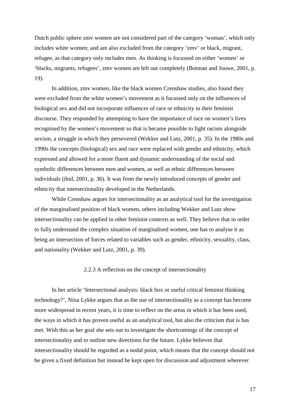Dutch public sphere zmv women are not considered part of the category 'woman', which only includes white women; and are also excluded from the category 'zmv' or black, migrant, refugee, as that category only includes men. As thinking is focussed on either 'women' or 'blacks, migrants, refugees', zmv women are left out completely (Botman and Jouwe, 2001, p. 19).

In addition, zmv women, like the black women Crenshaw studies, also found they were excluded from the white women's movement as it focussed only on the influences of biological sex and did not incorporate influences of race or ethnicity in their feminist discourse. They responded by attempting to have the importance of race on women's lives recognised by the women's movement so that is became possible to fight racism alongside sexism, a struggle in which they persevered (Wekker and Lutz, 2001, p. 35). In the 1980s and 1990s the concepts (biological) sex and race were replaced with gender and ethnicity, which expressed and allowed for a more fluent and dynamic understanding of the social and symbolic differences between men and women, as well as ethnic differences between individuals (ibid, 2001, p. 36). It was from the newly introduced concepts of gender and ethnicity that intersectionality developed in the Netherlands.

While Crenshaw argues for intersectionality as an analytical tool for the investigation of the marginalised position of black women, others including Wekker and Lutz show intersectionality can be applied in other feminist contexts as well. They believe that in order to fully understand the complex situation of marginalised women, one has to analyse it as being an intersection of forces related to variables such as gender, ethnicity, sexuality, class, and nationality (Wekker and Lutz, 2001, p. 39).

#### 2.2.3 A reflection on the concept of intersectionality

 In her article 'Intersectional analysis: black box or useful critical feminist thinking technology?', Nina Lykke argues that as the use of intersectionality as a concept has become more widespread in recent years, it is time to reflect on the areas in which it has been used, the ways in which it has proven useful as an analytical tool, but also the criticism that is has met. With this as her goal she sets out to investigate the shortcomings of the concept of intersectionality and to outline new directions for the future. Lykke believes that intersectionality should be regarded as a nodal point, which means that the concept should not be given a fixed definition but instead be kept open for discussion and adjustment wherever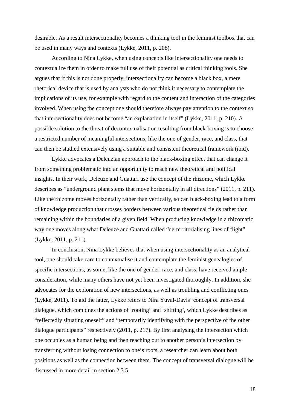desirable. As a result intersectionality becomes a thinking tool in the feminist toolbox that can be used in many ways and contexts (Lykke, 2011, p. 208).

 According to Nina Lykke, when using concepts like intersectionality one needs to contextualize them in order to make full use of their potential as critical thinking tools. She argues that if this is not done properly, intersectionality can become a black box, a mere rhetorical device that is used by analysts who do not think it necessary to contemplate the implications of its use, for example with regard to the content and interaction of the categories involved. When using the concept one should therefore always pay attention to the context so that intersectionality does not become "an explanation in itself" (Lykke, 2011, p. 210). A possible solution to the threat of decontextualisation resulting from black-boxing is to choose a restricted number of meaningful intersections, like the one of gender, race, and class, that can then be studied extensively using a suitable and consistent theoretical framework (ibid).

Lykke advocates a Deleuzian approach to the black-boxing effect that can change it from something problematic into an opportunity to reach new theoretical and political insights. In their work, Deleuze and Guattari use the concept of the rhizome, which Lykke describes as "underground plant stems that move horizontally in all directions" (2011, p. 211). Like the rhizome moves horizontally rather than vertically, so can black-boxing lead to a form of knowledge production that crosses borders between various theoretical fields rather than remaining within the boundaries of a given field. When producing knowledge in a rhizomatic way one moves along what Deleuze and Guattari called "de-territorialising lines of flight" (Lykke, 2011, p. 211).

In conclusion, Nina Lykke believes that when using intersectionality as an analytical tool, one should take care to contextualise it and contemplate the feminist genealogies of specific intersections, as some, like the one of gender, race, and class, have received ample consideration, while many others have not yet been investigated thoroughly. In addition, she advocates for the exploration of new intersections, as well as troubling and conflicting ones (Lykke, 2011). To aid the latter, Lykke refers to Nira Yuval-Davis' concept of transversal dialogue, which combines the actions of 'rooting' and 'shifting', which Lykke describes as "reflectedly situating oneself" and "temporarily identifying with the perspective of the other dialogue participants" respectively (2011, p. 217). By first analysing the intersection which one occupies as a human being and then reaching out to another person's intersection by transferring without losing connection to one's roots, a researcher can learn about both positions as well as the connection between them. The concept of transversal dialogue will be discussed in more detail in section 2.3.5.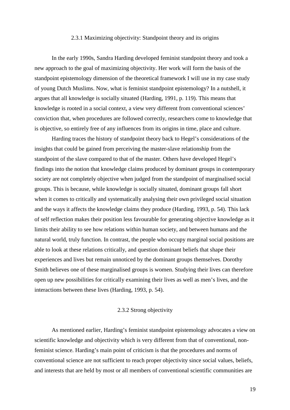#### 2.3.1 Maximizing objectivity: Standpoint theory and its origins

In the early 1990s, Sandra Harding developed feminist standpoint theory and took a new approach to the goal of maximizing objectivity. Her work will form the basis of the standpoint epistemology dimension of the theoretical framework I will use in my case study of young Dutch Muslims. Now, what is feminist standpoint epistemology? In a nutshell, it argues that all knowledge is socially situated (Harding, 1991, p. 119). This means that knowledge is rooted in a social context, a view very different from conventional sciences' conviction that, when procedures are followed correctly, researchers come to knowledge that is objective, so entirely free of any influences from its origins in time, place and culture.

Harding traces the history of standpoint theory back to Hegel's considerations of the insights that could be gained from perceiving the master-slave relationship from the standpoint of the slave compared to that of the master. Others have developed Hegel's findings into the notion that knowledge claims produced by dominant groups in contemporary society are not completely objective when judged from the standpoint of marginalised social groups. This is because, while knowledge is socially situated, dominant groups fall short when it comes to critically and systematically analysing their own privileged social situation and the ways it affects the knowledge claims they produce (Harding, 1993, p. 54). This lack of self reflection makes their position less favourable for generating objective knowledge as it limits their ability to see how relations within human society, and between humans and the natural world, truly function. In contrast, the people who occupy marginal social positions are able to look at these relations critically, and question dominant beliefs that shape their experiences and lives but remain unnoticed by the dominant groups themselves. Dorothy Smith believes one of these marginalised groups is women. Studying their lives can therefore open up new possibilities for critically examining their lives as well as men's lives, and the interactions between these lives (Harding, 1993, p. 54).

#### 2.3.2 Strong objectivity

As mentioned earlier, Harding's feminist standpoint epistemology advocates a view on scientific knowledge and objectivity which is very different from that of conventional, nonfeminist science. Harding's main point of criticism is that the procedures and norms of conventional science are not sufficient to reach proper objectivity since social values, beliefs, and interests that are held by most or all members of conventional scientific communities are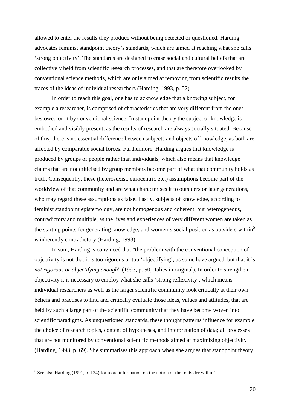allowed to enter the results they produce without being detected or questioned. Harding advocates feminist standpoint theory's standards, which are aimed at reaching what she calls 'strong objectivity'. The standards are designed to erase social and cultural beliefs that are collectively held from scientific research processes, and that are therefore overlooked by conventional science methods, which are only aimed at removing from scientific results the traces of the ideas of individual researchers (Harding, 1993, p. 52).

In order to reach this goal, one has to acknowledge that a knowing subject, for example a researcher, is comprised of characteristics that are very different from the ones bestowed on it by conventional science. In standpoint theory the subject of knowledge is embodied and visibly present, as the results of research are always socially situated. Because of this, there is no essential difference between subjects and objects of knowledge, as both are affected by comparable social forces. Furthermore, Harding argues that knowledge is produced by groups of people rather than individuals, which also means that knowledge claims that are not criticised by group members become part of what that community holds as truth. Consequently, these (heterosexist, eurocentric etc.) assumptions become part of the worldview of that community and are what characterises it to outsiders or later generations, who may regard these assumptions as false. Lastly, subjects of knowledge, according to feminist standpoint epistemology, are not homogenous and coherent, but heterogeneous, contradictory and multiple, as the lives and experiences of very different women are taken as the starting points for generating knowledge, and women's social position as outsiders within<sup>5</sup> is inherently contradictory (Harding, 1993).

In sum, Harding is convinced that "the problem with the conventional conception of objectivity is not that it is too rigorous or too 'objectifying', as some have argued, but that it is *not rigorous or objectifying enough*" (1993, p. 50, italics in original). In order to strengthen objectivity it is necessary to employ what she calls 'strong reflexivity', which means individual researchers as well as the larger scientific community look critically at their own beliefs and practises to find and critically evaluate those ideas, values and attitudes, that are held by such a large part of the scientific community that they have become woven into scientific paradigms. As unquestioned standards, these thought patterns influence for example the choice of research topics, content of hypotheses, and interpretation of data; all processes that are not monitored by conventional scientific methods aimed at maximizing objectivity (Harding, 1993, p. 69). She summarises this approach when she argues that standpoint theory

<sup>&</sup>lt;sup>5</sup> See also Harding (1991, p. 124) for more information on the notion of the 'outsider within'.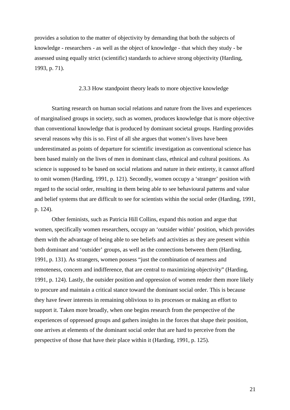provides a solution to the matter of objectivity by demanding that both the subjects of knowledge - researchers - as well as the object of knowledge - that which they study - be assessed using equally strict (scientific) standards to achieve strong objectivity (Harding, 1993, p. 71).

#### 2.3.3 How standpoint theory leads to more objective knowledge

Starting research on human social relations and nature from the lives and experiences of marginalised groups in society, such as women, produces knowledge that is more objective than conventional knowledge that is produced by dominant societal groups. Harding provides several reasons why this is so. First of all she argues that women's lives have been underestimated as points of departure for scientific investigation as conventional science has been based mainly on the lives of men in dominant class, ethnical and cultural positions. As science is supposed to be based on social relations and nature in their entirety, it cannot afford to omit women (Harding, 1991, p. 121). Secondly, women occupy a 'stranger' position with regard to the social order, resulting in them being able to see behavioural patterns and value and belief systems that are difficult to see for scientists within the social order (Harding, 1991, p. 124).

Other feminists, such as Patricia Hill Collins, expand this notion and argue that women, specifically women researchers, occupy an 'outsider within' position, which provides them with the advantage of being able to see beliefs and activities as they are present within both dominant and 'outsider' groups, as well as the connections between them (Harding, 1991, p. 131). As strangers, women possess "just the combination of nearness and remoteness, concern and indifference, that are central to maximizing objectivity" (Harding, 1991, p. 124). Lastly, the outsider position and oppression of women render them more likely to procure and maintain a critical stance toward the dominant social order. This is because they have fewer interests in remaining oblivious to its processes or making an effort to support it. Taken more broadly, when one begins research from the perspective of the experiences of oppressed groups and gathers insights in the forces that shape their position, one arrives at elements of the dominant social order that are hard to perceive from the perspective of those that have their place within it (Harding, 1991, p. 125).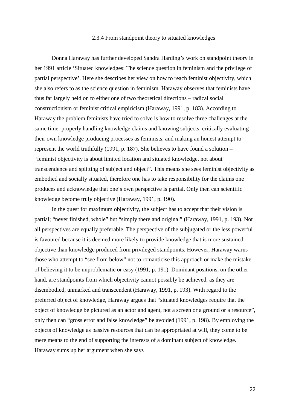#### 2.3.4 From standpoint theory to situated knowledges

Donna Haraway has further developed Sandra Harding's work on standpoint theory in her 1991 article 'Situated knowledges: The science question in feminism and the privilege of partial perspective'. Here she describes her view on how to reach feminist objectivity, which she also refers to as the science question in feminism. Haraway observes that feminists have thus far largely held on to either one of two theoretical directions – radical social constructionism or feminist critical empiricism (Haraway, 1991, p. 183). According to Haraway the problem feminists have tried to solve is how to resolve three challenges at the same time: properly handling knowledge claims and knowing subjects, critically evaluating their own knowledge producing processes as feminists, and making an honest attempt to represent the world truthfully (1991, p. 187). She believes to have found a solution – "feminist objectivity is about limited location and situated knowledge, not about transcendence and splitting of subject and object". This means she sees feminist objectivity as embodied and socially situated, therefore one has to take responsibility for the claims one produces and acknowledge that one's own perspective is partial. Only then can scientific knowledge become truly objective (Haraway, 1991, p. 190).

In the quest for maximum objectivity, the subject has to accept that their vision is partial; "never finished, whole" but "simply there and original" (Haraway, 1991, p. 193). Not all perspectives are equally preferable. The perspective of the subjugated or the less powerful is favoured because it is deemed more likely to provide knowledge that is more sustained objective than knowledge produced from privileged standpoints. However, Haraway warns those who attempt to "see from below" not to romanticise this approach or make the mistake of believing it to be unproblematic or easy (1991, p. 191). Dominant positions, on the other hand, are standpoints from which objectivity cannot possibly be achieved, as they are disembodied, unmarked and transcendent (Haraway, 1991, p. 193). With regard to the preferred object of knowledge, Haraway argues that "situated knowledges require that the object of knowledge be pictured as an actor and agent, not a screen or a ground or a resource", only then can "gross error and false knowledge" be avoided (1991, p. 198). By employing the objects of knowledge as passive resources that can be appropriated at will, they come to be mere means to the end of supporting the interests of a dominant subject of knowledge. Haraway sums up her argument when she says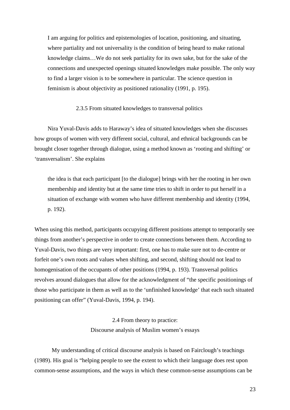I am arguing for politics and epistemologies of location, positioning, and situating, where partiality and not universality is the condition of being heard to make rational knowledge claims…We do not seek partiality for its own sake, but for the sake of the connections and unexpected openings situated knowledges make possible. The only way to find a larger vision is to be somewhere in particular. The science question in feminism is about objectivity as positioned rationality (1991, p. 195).

#### 2.3.5 From situated knowledges to transversal politics

Nira Yuval-Davis adds to Haraway's idea of situated knowledges when she discusses how groups of women with very different social, cultural, and ethnical backgrounds can be brought closer together through dialogue, using a method known as 'rooting and shifting' or 'transversalism'. She explains

the idea is that each participant [to the dialogue] brings with her the rooting in her own membership and identity but at the same time tries to shift in order to put herself in a situation of exchange with women who have different membership and identity (1994, p. 192).

When using this method, participants occupying different positions attempt to temporarily see things from another's perspective in order to create connections between them. According to Yuval-Davis, two things are very important: first, one has to make sure not to de-centre or forfeit one's own roots and values when shifting, and second, shifting should not lead to homogenisation of the occupants of other positions (1994, p. 193). Transversal politics revolves around dialogues that allow for the acknowledgment of "the specific positionings of those who participate in them as well as to the 'unfinished knowledge' that each such situated positioning can offer" (Yuval-Davis, 1994, p. 194).

### 2.4 From theory to practice:

#### Discourse analysis of Muslim women's essays

My understanding of critical discourse analysis is based on Fairclough's teachings (1989). His goal is "helping people to see the extent to which their language does rest upon common-sense assumptions, and the ways in which these common-sense assumptions can be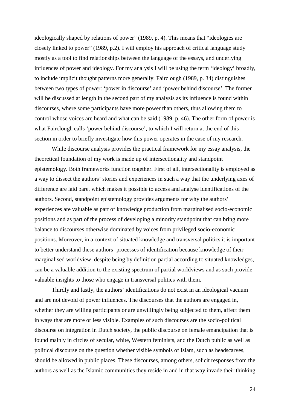ideologically shaped by relations of power" (1989, p. 4). This means that "ideologies are closely linked to power" (1989, p.2). I will employ his approach of critical language study mostly as a tool to find relationships between the language of the essays, and underlying influences of power and ideology. For my analysis I will be using the term 'ideology' broadly, to include implicit thought patterns more generally. Fairclough (1989, p. 34) distinguishes between two types of power: 'power in discourse' and 'power behind discourse'. The former will be discussed at length in the second part of my analysis as its influence is found within discourses, where some participants have more power than others, thus allowing them to control whose voices are heard and what can be said (1989, p. 46). The other form of power is what Fairclough calls 'power behind discourse', to which I will return at the end of this section in order to briefly investigate how this power operates in the case of my research.

While discourse analysis provides the practical framework for my essay analysis, the theoretical foundation of my work is made up of intersectionality and standpoint epistemology. Both frameworks function together. First of all, intersectionality is employed as a way to dissect the authors' stories and experiences in such a way that the underlying axes of difference are laid bare, which makes it possible to access and analyse identifications of the authors. Second, standpoint epistemology provides arguments for why the authors' experiences are valuable as part of knowledge production from marginalised socio-economic positions and as part of the process of developing a minority standpoint that can bring more balance to discourses otherwise dominated by voices from privileged socio-economic positions. Moreover, in a context of situated knowledge and transversal politics it is important to better understand these authors' processes of identification because knowledge of their marginalised worldview, despite being by definition partial according to situated knowledges, can be a valuable addition to the existing spectrum of partial worldviews and as such provide valuable insights to those who engage in transversal politics with them.

Thirdly and lastly, the authors' identifications do not exist in an ideological vacuum and are not devoid of power influences. The discourses that the authors are engaged in, whether they are willing participants or are unwillingly being subjected to them, affect them in ways that are more or less visible. Examples of such discourses are the socio-political discourse on integration in Dutch society, the public discourse on female emancipation that is found mainly in circles of secular, white, Western feminists, and the Dutch public as well as political discourse on the question whether visible symbols of Islam, such as headscarves, should be allowed in public places. These discourses, among others, solicit responses from the authors as well as the Islamic communities they reside in and in that way invade their thinking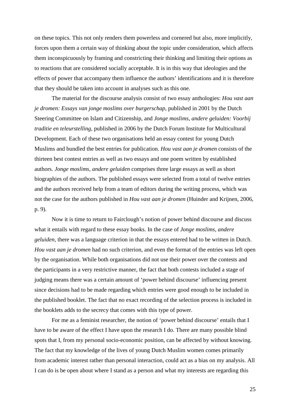on these topics. This not only renders them powerless and cornered but also, more implicitly, forces upon them a certain way of thinking about the topic under consideration, which affects them inconspicuously by framing and constricting their thinking and limiting their options as to reactions that are considered socially acceptable. It is in this way that ideologies and the effects of power that accompany them influence the authors' identifications and it is therefore that they should be taken into account in analyses such as this one.

The material for the discourse analysis consist of two essay anthologies: *Hou vast aan je dromen: Essays van jonge moslims over burgerschap*, published in 2001 by the Dutch Steering Committee on Islam and Citizenship, and *Jonge moslims, andere geluiden: Voorbij traditie en teleurstelling*, published in 2006 by the Dutch Forum Institute for Multicultural Development. Each of these two organisations held an essay contest for young Dutch Muslims and bundled the best entries for publication. *Hou vast aan je dromen* consists of the thirteen best contest entries as well as two essays and one poem written by established authors. *Jonge moslims, andere geluiden* comprises three large essays as well as short biographies of the authors. The published essays were selected from a total of twelve entries and the authors received help from a team of editors during the writing process, which was not the case for the authors published in *Hou vast aan je dromen* (Huinder and Krijnen, 2006, p. 9)*.*

Now it is time to return to Fairclough's notion of power behind discourse and discuss what it entails with regard to these essay books. In the case of *Jonge moslims, andere geluiden,* there was a language criterion in that the essays entered had to be written in Dutch. *Hou vast aan je dromen* had no such criterion, and even the format of the entries was left open by the organisation. While both organisations did not use their power over the contests and the participants in a very restrictive manner, the fact that both contests included a stage of judging means there was a certain amount of 'power behind discourse' influencing present since decisions had to be made regarding which entries were good enough to be included in the published booklet. The fact that no exact recording of the selection process is included in the booklets adds to the secrecy that comes with this type of power.

For me as a feminist researcher, the notion of 'power behind discourse' entails that I have to be aware of the effect I have upon the research I do. There are many possible blind spots that I, from my personal socio-economic position, can be affected by without knowing. The fact that my knowledge of the lives of young Dutch Muslim women comes primarily from academic interest rather than personal interaction, could act as a bias on my analysis. All I can do is be open about where I stand as a person and what my interests are regarding this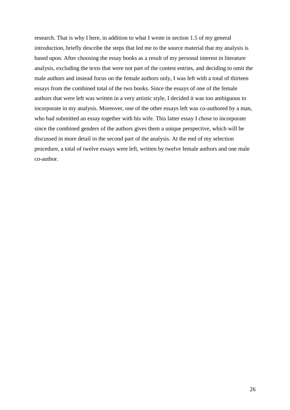research. That is why I here, in addition to what I wrote in section 1.5 of my general introduction, briefly describe the steps that led me to the source material that my analysis is based upon. After choosing the essay books as a result of my personal interest in literature analysis, excluding the texts that were not part of the contest entries, and deciding to omit the male authors and instead focus on the female authors only, I was left with a total of thirteen essays from the combined total of the two books. Since the essays of one of the female authors that were left was written in a very artistic style, I decided it was too ambiguous to incorporate in my analysis. Moreover, one of the other essays left was co-authored by a man, who had submitted an essay together with his wife. This latter essay I chose to incorporate since the combined genders of the authors gives them a unique perspective, which will be discussed in more detail in the second part of the analysis. At the end of my selection procedure, a total of twelve essays were left, written by twelve female authors and one male co-author.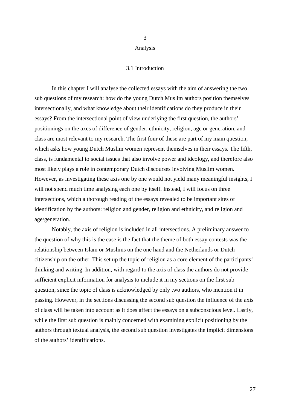#### 3

#### Analysis

#### 3.1 Introduction

In this chapter I will analyse the collected essays with the aim of answering the two sub questions of my research: how do the young Dutch Muslim authors position themselves intersectionally, and what knowledge about their identifications do they produce in their essays? From the intersectional point of view underlying the first question, the authors' positionings on the axes of difference of gender, ethnicity, religion, age or generation, and class are most relevant to my research. The first four of these are part of my main question, which asks how young Dutch Muslim women represent themselves in their essays. The fifth, class, is fundamental to social issues that also involve power and ideology, and therefore also most likely plays a role in contemporary Dutch discourses involving Muslim women. However, as investigating these axis one by one would not yield many meaningful insights, I will not spend much time analysing each one by itself. Instead, I will focus on three intersections, which a thorough reading of the essays revealed to be important sites of identification by the authors: religion and gender, religion and ethnicity, and religion and age/generation.

Notably, the axis of religion is included in all intersections. A preliminary answer to the question of why this is the case is the fact that the theme of both essay contests was the relationship between Islam or Muslims on the one hand and the Netherlands or Dutch citizenship on the other. This set up the topic of religion as a core element of the participants' thinking and writing. In addition, with regard to the axis of class the authors do not provide sufficient explicit information for analysis to include it in my sections on the first sub question, since the topic of class is acknowledged by only two authors, who mention it in passing. However, in the sections discussing the second sub question the influence of the axis of class will be taken into account as it does affect the essays on a subconscious level. Lastly, while the first sub question is mainly concerned with examining explicit positioning by the authors through textual analysis, the second sub question investigates the implicit dimensions of the authors' identifications.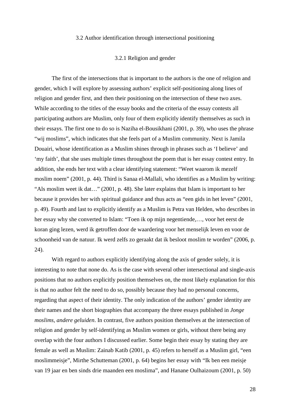#### 3.2 Author identification through intersectional positioning

#### 3.2.1 Religion and gender

The first of the intersections that is important to the authors is the one of religion and gender, which I will explore by assessing authors' explicit self-positioning along lines of religion and gender first, and then their positioning on the intersection of these two axes. While according to the titles of the essay books and the criteria of the essay contests all participating authors are Muslim, only four of them explicitly identify themselves as such in their essays. The first one to do so is Naziha el-Bousikhani (2001, p. 39), who uses the phrase "wij moslims", which indicates that she feels part of a Muslim community. Next is Jamila Douairi, whose identification as a Muslim shines through in phrases such as 'I believe' and 'my faith', that she uses multiple times throughout the poem that is her essay contest entry. In addition, she ends her text with a clear identifying statement: "Weet waarom ik mezelf moslim noem" (2001, p. 44). Third is Sanaa el-Mallali, who identifies as a Muslim by writing: "Als moslim weet ik dat…" (2001, p. 48). She later explains that Islam is important to her because it provides her with spiritual guidance and thus acts as "een gids in het leven" (2001, p. 49). Fourth and last to explicitly identify as a Muslim is Petra van Helden, who describes in her essay why she converted to Islam: "Toen ik op mijn negentiende,…, voor het eerst de koran ging lezen, werd ik getroffen door de waardering voor het menselijk leven en voor de schoonheid van de natuur. Ik werd zelfs zo geraakt dat ik besloot moslim te worden" (2006, p. 24).

 With regard to authors explicitly identifying along the axis of gender solely, it is interesting to note that none do. As is the case with several other intersectional and single-axis positions that no authors explicitly position themselves on, the most likely explanation for this is that no author felt the need to do so, possibly because they had no personal concerns, regarding that aspect of their identity. The only indication of the authors' gender identity are their names and the short biographies that accompany the three essays published in *Jonge moslims, andere geluiden*. In contrast, five authors position themselves at the intersection of religion and gender by self-identifying as Muslim women or girls, without there being any overlap with the four authors I discussed earlier. Some begin their essay by stating they are female as well as Muslim: Zainab Katib (2001, p. 45) refers to herself as a Muslim girl, "een moslimmeisje", Mirthe Schutteman (2001, p. 64) begins her essay with "Ik ben een meisje van 19 jaar en ben sinds drie maanden een moslima", and Hanane Oulhaizoum (2001, p. 50)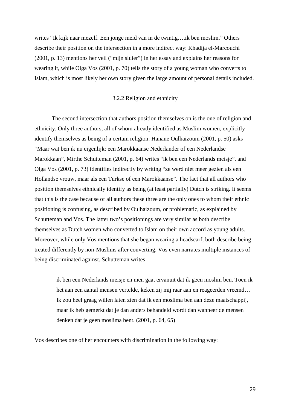writes "Ik kijk naar mezelf. Een jonge meid van in de twintig….ik ben moslim." Others describe their position on the intersection in a more indirect way: Khadija el-Marcouchi (2001, p. 13) mentions her veil ("mijn sluier") in her essay and explains her reasons for wearing it, while Olga Vos (2001, p. 70) tells the story of a young woman who converts to Islam, which is most likely her own story given the large amount of personal details included.

#### 3.2.2 Religion and ethnicity

The second intersection that authors position themselves on is the one of religion and ethnicity. Only three authors, all of whom already identified as Muslim women, explicitly identify themselves as being of a certain religion: Hanane Oulhaizoum (2001, p. 50) asks "Maar wat ben ik nu eigenlijk: een Marokkaanse Nederlander of een Nederlandse Marokkaan", Mirthe Schutteman (2001, p. 64) writes "ik ben een Nederlands meisje", and Olga Vos (2001, p. 73) identifies indirectly by writing "ze werd niet meer gezien als een Hollandse vrouw, maar als een Turkse of een Marokkaanse". The fact that all authors who position themselves ethnically identify as being (at least partially) Dutch is striking. It seems that this is the case because of all authors these three are the only ones to whom their ethnic positioning is confusing, as described by Oulhaizoum, or problematic, as explained by Schutteman and Vos. The latter two's positionings are very similar as both describe themselves as Dutch women who converted to Islam on their own accord as young adults. Moreover, while only Vos mentions that she began wearing a headscarf, both describe being treated differently by non-Muslims after converting. Vos even narrates multiple instances of being discriminated against. Schutteman writes

> ik ben een Nederlands meisje en men gaat ervanuit dat ik geen moslim ben. Toen ik het aan een aantal mensen vertelde, keken zij mij raar aan en reageerden vreemd… Ik zou heel graag willen laten zien dat ik een moslima ben aan deze maatschappij, maar ik heb gemerkt dat je dan anders behandeld wordt dan wanneer de mensen denken dat je geen moslima bent. (2001, p. 64, 65)

Vos describes one of her encounters with discrimination in the following way: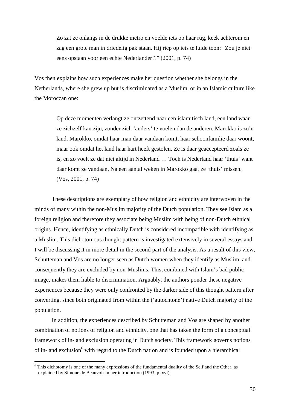Zo zat ze onlangs in de drukke metro en voelde iets op haar rug, keek achterom en zag een grote man in driedelig pak staan. Hij riep op iets te luide toon: "Zou je niet eens opstaan voor een echte Nederlander!?" (2001, p. 74)

Vos then explains how such experiences make her question whether she belongs in the Netherlands, where she grew up but is discriminated as a Muslim, or in an Islamic culture like the Moroccan one:

Op deze momenten verlangt ze ontzettend naar een islamitisch land, een land waar ze zichzelf kan zijn, zonder zich 'anders' te voelen dan de anderen. Marokko is zo'n land. Marokko, omdat haar man daar vandaan komt, haar schoonfamilie daar woont, maar ook omdat het land haar hart heeft gestolen. Ze is daar geaccepteerd zoals ze is, en zo voelt ze dat niet altijd in Nederland … Toch is Nederland haar 'thuis' want daar komt ze vandaan. Na een aantal weken in Marokko gaat ze 'thuis' missen. (Vos, 2001, p. 74)

These descriptions are exemplary of how religion and ethnicity are interwoven in the minds of many within the non-Muslim majority of the Dutch population. They see Islam as a foreign religion and therefore they associate being Muslim with being of non-Dutch ethnical origins. Hence, identifying as ethnically Dutch is considered incompatible with identifying as a Muslim. This dichotomous thought pattern is investigated extensively in several essays and I will be discussing it in more detail in the second part of the analysis. As a result of this view, Schutteman and Vos are no longer seen as Dutch women when they identify as Muslim, and consequently they are excluded by non-Muslims. This, combined with Islam's bad public image, makes them liable to discrimination. Arguably, the authors ponder these negative experiences because they were only confronted by the darker side of this thought pattern after converting, since both originated from within the ('autochtone') native Dutch majority of the population.

In addition, the experiences described by Schutteman and Vos are shaped by another combination of notions of religion and ethnicity, one that has taken the form of a conceptual framework of in- and exclusion operating in Dutch society. This framework governs notions of in- and exclusion<sup>6</sup> with regard to the Dutch nation and is founded upon a hierarchical

 $\overline{a}$ 

<sup>&</sup>lt;sup>6</sup> This dichotomy is one of the many expressions of the fundamental duality of the Self and the Other, as explained by Simone de Beauvoir in her introduction (1993, p. xvi).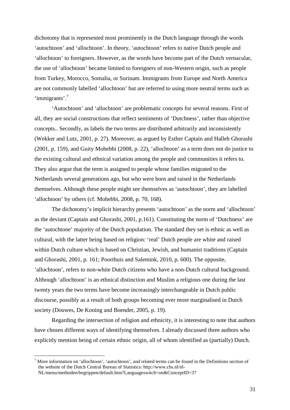dichotomy that is represented most prominently in the Dutch language through the words 'autochtoon' and 'allochtoon'. In theory, 'autochtoon' refers to native Dutch people and 'allochtoon' to foreigners. However, as the words have become part of the Dutch vernacular, the use of 'allochtoon' became limited to foreigners of non-Western origin, such as people from Turkey, Morocco, Somalia, or Surinam. Immigrants from Europe and North America are not commonly labelled 'allochtoon' but are referred to using more neutral terms such as 'immigrants'.<sup>7</sup>

'Autochtoon' and 'allochtoon' are problematic concepts for several reasons. First of all, they are social constructions that reflect sentiments of 'Dutchness', rather than objective concepts.. Secondly, as labels the two terms are distributed arbitrarily and inconsistently (Wekker and Lutz, 2001, p. 27). Moreover, as argued by Esther Captain and Halleh Ghorashi (2001, p. 159), and Guity Mohebbi (2008, p. 22), 'allochtoon' as a term does not do justice to the existing cultural and ethnical variation among the people and communities it refers to. They also argue that the term is assigned to people whose families migrated to the Netherlands several generations ago, but who were born and raised in the Netherlands themselves. Although these people might see themselves as 'autochtoon', they are labelled 'allochtoon' by others (cf. Mohebbi, 2008, p. 70, 168).

The dichotomy's implicit hierarchy presents 'autochtoon' as the norm and 'allochtoon' as the deviant (Captain and Ghorashi, 2001, p.161). Constituting the norm of 'Dutchness' are the 'autochtone' majority of the Dutch population. The standard they set is ethnic as well as cultural, with the latter being based on religion: 'real' Dutch people are white and raised within Dutch culture which is based on Christian, Jewish, and humanist traditions (Captain and Ghorashi, 2001, p. 161; Poorthuis and Salemink, 2010, p. 600). The opposite, 'allochtoon', refers to non-white Dutch citizens who have a non-Dutch cultural background. Although 'allochtoon' is an ethnical distinction and Muslim a religious one during the last twenty years the two terms have become increasingly interchangeable in Dutch public discourse, possibly as a result of both groups becoming ever more marginalised in Dutch society (Douwes, De Koning and Boender, 2005, p. 19).

 Regarding the intersection of religion and ethnicity, it is interesting to note that authors have chosen different ways of identifying themselves. I already discussed three authors who explicitly mention being of certain ethnic origin, all of whom identified as (partially) Dutch.

 $\overline{a}$ 

 $<sup>7</sup>$  More information on 'allochtoon', 'autochtoon', and related terms can be found in the Definitions section of</sup> the website of the Dutch Central Bureau of Statistics: http://www.cbs.nl/nl-

NL/menu/methoden/begrippen/default.htm?Languageswitch=on&ConceptID=37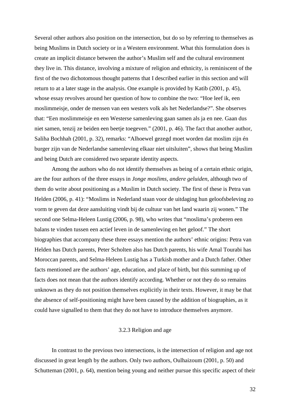Several other authors also position on the intersection, but do so by referring to themselves as being Muslims in Dutch society or in a Western environment. What this formulation does is create an implicit distance between the author's Muslim self and the cultural environment they live in. This distance, involving a mixture of religion and ethnicity, is reminiscent of the first of the two dichotomous thought patterns that I described earlier in this section and will return to at a later stage in the analysis. One example is provided by Katib (2001, p. 45), whose essay revolves around her question of how to combine the two: "Hoe leef ik, een moslimmeisje, onder de mensen van een westers volk als het Nederlandse?". She observes that: "Een moslimmeisje en een Westerse samenleving gaan samen als ja en nee. Gaan dus niet samen, tenzij ze beiden een beetje toegeven." (2001, p. 46). The fact that another author, Saliha Bochhah (2001, p. 32), remarks: "Alhoewel gezegd moet worden dat moslim zijn én burger zijn van de Nederlandse samenleving elkaar niet uitsluiten", shows that being Muslim and being Dutch are considered two separate identity aspects.

 Among the authors who do not identify themselves as being of a certain ethnic origin, are the four authors of the three essays in *Jonge moslims, andere geluiden*, although two of them do write about positioning as a Muslim in Dutch society. The first of these is Petra van Helden (2006, p. 41): "Moslims in Nederland staan voor de uitdaging hun geloofsbeleving zo vorm te geven dat deze aansluiting vindt bij de cultuur van het land waarin zij wonen." The second one Selma-Heleen Lustig (2006, p. 98), who writes that "moslima's proberen een balans te vinden tussen een actief leven in de samenleving en het geloof." The short biographies that accompany these three essays mention the authors' ethnic origins: Petra van Helden has Dutch parents, Peter Scholten also has Dutch parents, his wife Amal Tourabi has Moroccan parents, and Selma-Heleen Lustig has a Turkish mother and a Dutch father. Other facts mentioned are the authors' age, education, and place of birth, but this summing up of facts does not mean that the authors identify according. Whether or not they do so remains unknown as they do not position themselves explicitly in their texts. However, it may be that the absence of self-positioning might have been caused by the addition of biographies, as it could have signalled to them that they do not have to introduce themselves anymore.

#### 3.2.3 Religion and age

 In contrast to the previous two intersections, is the intersection of religion and age not discussed in great length by the authors. Only two authors, Oulhaizoum (2001, p. 50) and Schutteman (2001, p. 64), mention being young and neither pursue this specific aspect of their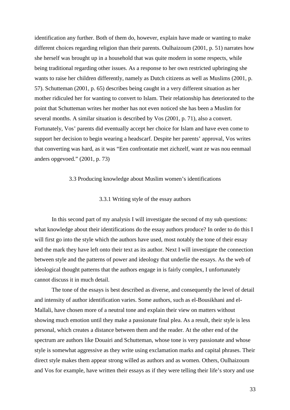identification any further. Both of them do, however, explain have made or wanting to make different choices regarding religion than their parents. Oulhaizoum (2001, p. 51) narrates how she herself was brought up in a household that was quite modern in some respects, while being traditional regarding other issues. As a response to her own restricted upbringing she wants to raise her children differently, namely as Dutch citizens as well as Muslims (2001, p. 57). Schutteman (2001, p. 65) describes being caught in a very different situation as her mother ridiculed her for wanting to convert to Islam. Their relationship has deteriorated to the point that Schutteman writes her mother has not even noticed she has been a Muslim for several months. A similar situation is described by Vos (2001, p. 71), also a convert. Fortunately, Vos' parents did eventually accept her choice for Islam and have even come to support her decision to begin wearing a headscarf. Despite her parents' approval, Vos writes that converting was hard, as it was "Een confrontatie met zichzelf, want ze was nou eenmaal anders opgevoed." (2001, p. 73)

#### 3.3 Producing knowledge about Muslim women's identifications

#### 3.3.1 Writing style of the essay authors

 In this second part of my analysis I will investigate the second of my sub questions: what knowledge about their identifications do the essay authors produce? In order to do this I will first go into the style which the authors have used, most notably the tone of their essay and the mark they have left onto their text as its author. Next I will investigate the connection between style and the patterns of power and ideology that underlie the essays. As the web of ideological thought patterns that the authors engage in is fairly complex, I unfortunately cannot discuss it in much detail.

 The tone of the essays is best described as diverse, and consequently the level of detail and intensity of author identification varies. Some authors, such as el-Bousikhani and el-Mallali, have chosen more of a neutral tone and explain their view on matters without showing much emotion until they make a passionate final plea. As a result, their style is less personal, which creates a distance between them and the reader. At the other end of the spectrum are authors like Douairi and Schutteman, whose tone is very passionate and whose style is somewhat aggressive as they write using exclamation marks and capital phrases. Their direct style makes them appear strong willed as authors and as women. Others, Oulhaizoum and Vos for example, have written their essays as if they were telling their life's story and use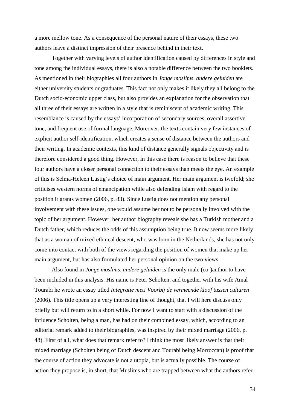a more mellow tone. As a consequence of the personal nature of their essays, these two authors leave a distinct impression of their presence behind in their text.

Together with varying levels of author identification caused by differences in style and tone among the individual essays, there is also a notable difference between the two booklets. As mentioned in their biographies all four authors in *Jonge moslims, andere geluiden* are either university students or graduates. This fact not only makes it likely they all belong to the Dutch socio-economic upper class, but also provides an explanation for the observation that all three of their essays are written in a style that is reminiscent of academic writing. This resemblance is caused by the essays' incorporation of secondary sources, overall assertive tone, and frequent use of formal language. Moreover, the texts contain very few instances of explicit author self-identification, which creates a sense of distance between the authors and their writing. In academic contexts, this kind of distance generally signals objectivity and is therefore considered a good thing. However, in this case there is reason to believe that these four authors have a closer personal connection to their essays than meets the eye. An example of this is Selma-Heleen Lustig's choice of main argument. Her main argument is twofold; she criticises western norms of emancipation while also defending Islam with regard to the position it grants women (2006, p. 83). Since Lustig does not mention any personal involvement with these issues, one would assume her not to be personally involved with the topic of her argument. However, her author biography reveals she has a Turkish mother and a Dutch father, which reduces the odds of this assumption being true. It now seems more likely that as a woman of mixed ethnical descent, who was born in the Netherlands, she has not only come into contact with both of the views regarding the position of women that make up her main argument, but has also formulated her personal opinion on the two views.

Also found in *Jonge moslims, andere geluiden* is the only male (co-)author to have been included in this analysis. His name is Peter Scholten, and together with his wife Amal Tourabi he wrote an essay titled *Integratie met! Voorbij de vermeende kloof tussen culturen* (2006). This title opens up a very interesting line of thought, that I will here discuss only briefly but will return to in a short while. For now I want to start with a discussion of the influence Scholten, being a man, has had on their combined essay, which, according to an editorial remark added to their biographies, was inspired by their mixed marriage (2006, p. 48). First of all, what does that remark refer to? I think the most likely answer is that their mixed marriage (Scholten being of Dutch descent and Tourabi being Morroccan) is proof that the course of action they advocate is not a utopia, but is actually possible. The course of action they propose is, in short, that Muslims who are trapped between what the authors refer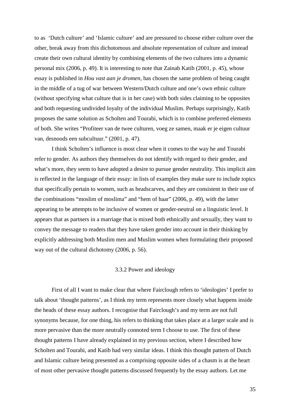to as 'Dutch culture' and 'Islamic culture' and are pressured to choose either culture over the other, break away from this dichotomous and absolute representation of culture and instead create their own cultural identity by combining elements of the two cultures into a dynamic personal mix (2006, p. 49). It is interesting to note that Zainab Katib (2001, p. 45), whose essay is published in *Hou vast aan je dromen,* has chosen the same problem of being caught in the middle of a tug of war between Western/Dutch culture and one's own ethnic culture (without specifying what culture that is in her case) with both sides claiming to be opposites and both requesting undivided loyalty of the individual Muslim. Perhaps surprisingly, Katib proposes the same solution as Scholten and Tourabi, which is to combine preferred elements of both. She writes "Profiteer van de twee culturen, voeg ze samen, maak er je eigen cultuur van, desnoods een subcultuur." (2001, p. 47).

 I think Scholten's influence is most clear when it comes to the way he and Tourabi refer to gender. As authors they themselves do not identify with regard to their gender, and what's more, they seem to have adopted a desire to pursue gender neutrality. This implicit aim is reflected in the language of their essay: in lists of examples they make sure to include topics that specifically pertain to women, such as headscarves, and they are consistent in their use of the combinations "moslim of moslima" and "hem of haar" (2006, p. 49), with the latter appearing to be attempts to be inclusive of women or gender-neutral on a linguistic level. It appears that as partners in a marriage that is mixed both ethnically and sexually, they want to convey the message to readers that they have taken gender into account in their thinking by explicitly addressing both Muslim men and Muslim women when formulating their proposed way out of the cultural dichotomy (2006, p. 56).

#### 3.3.2 Power and ideology

 First of all I want to make clear that where Fairclough refers to 'ideologies' I prefer to talk about 'thought patterns', as I think my term represents more closely what happens inside the heads of these essay authors. I recognise that Fairclough's and my term are not full synonyms because, for one thing, his refers to thinking that takes place at a larger scale and is more pervasive than the more neutrally connoted term I choose to use. The first of these thought patterns I have already explained in my previous section, where I described how Scholten and Tourabi, and Katib had very similar ideas. I think this thought pattern of Dutch and Islamic culture being presented as a comprising opposite sides of a chasm is at the heart of most other pervasive thought patterns discussed frequently by the essay authors. Let me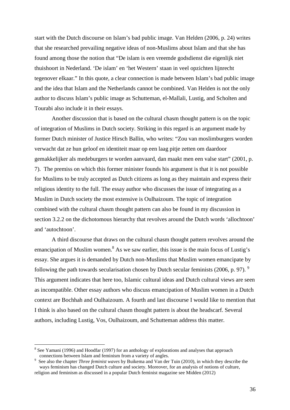start with the Dutch discourse on Islam's bad public image. Van Helden (2006, p. 24) writes that she researched prevailing negative ideas of non-Muslims about Islam and that she has found among those the notion that "De islam is een vreemde godsdienst die eigenlijk niet thuishoort in Nederland. 'De islam' en 'het Western' staan in veel opzichten lijnrecht tegenover elkaar." In this quote, a clear connection is made between Islam's bad public image and the idea that Islam and the Netherlands cannot be combined. Van Helden is not the only author to discuss Islam's public image as Schutteman, el-Mallali, Lustig, and Scholten and Tourabi also include it in their essays.

Another discussion that is based on the cultural chasm thought pattern is on the topic of integration of Muslims in Dutch society. Striking in this regard is an argument made by former Dutch minister of Justice Hirsch Ballin, who writes: "Zou van moslimburgers worden verwacht dat ze hun geloof en identiteit maar op een laag pitje zetten om daardoor gemakkelijker als medeburgers te worden aanvaard, dan maakt men een valse start" (2001, p. 7). The premiss on which this former minister founds his argument is that it is not possible for Muslims to be truly accepted as Dutch citizens as long as they maintain and express their religious identity to the full. The essay author who discusses the issue of integrating as a Muslim in Dutch society the most extensive is Oulhaizoum. The topic of integration combined with the cultural chasm thought pattern can also be found in my discussion in section 3.2.2 on the dichotomous hierarchy that revolves around the Dutch words 'allochtoon' and 'autochtoon'.

A third discourse that draws on the cultural chasm thought pattern revolves around the emancipation of Muslim women. $8$  As we saw earlier, this issue is the main focus of Lustig's essay. She argues it is demanded by Dutch non-Muslims that Muslim women emancipate by following the path towards secularisation chosen by Dutch secular feminists (2006, p. 97).  $9^{\circ}$ This argument indicates that here too, Islamic cultural ideas and Dutch cultural views are seen as incompatible. Other essay authors who discuss emancipation of Muslim women in a Dutch context are Bochhah and Oulhaizoum. A fourth and last discourse I would like to mention that I think is also based on the cultural chasm thought pattern is about the headscarf. Several authors, including Lustig, Vos, Oulhaizoum, and Schutteman address this matter.

 $\overline{a}$ 

<sup>&</sup>lt;sup>8</sup> See Yamani (1996) and Hoodfar (1997) for an anthology of explorations and analyses that approach connections between Islam and feminism from a variety of angles.

<sup>9</sup> See also the chapter *Three feminist waves* by Buikema and Van der Tuin (2010), in which they describe the ways feminism has changed Dutch culture and society. Moreover, for an analysis of notions of culture, religion and feminism as discussed in a popular Dutch feminist magazine see Midden (2012)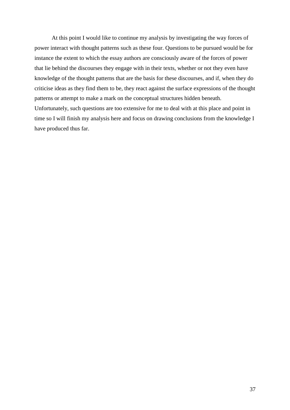At this point I would like to continue my analysis by investigating the way forces of power interact with thought patterns such as these four. Questions to be pursued would be for instance the extent to which the essay authors are consciously aware of the forces of power that lie behind the discourses they engage with in their texts, whether or not they even have knowledge of the thought patterns that are the basis for these discourses, and if, when they do criticise ideas as they find them to be, they react against the surface expressions of the thought patterns or attempt to make a mark on the conceptual structures hidden beneath. Unfortunately, such questions are too extensive for me to deal with at this place and point in time so I will finish my analysis here and focus on drawing conclusions from the knowledge I have produced thus far.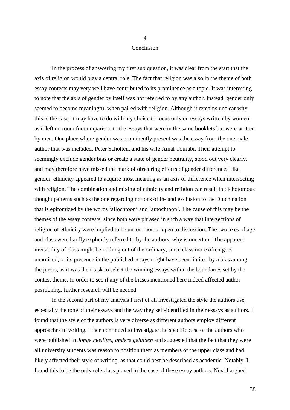#### Conclusion

4

 In the process of answering my first sub question, it was clear from the start that the axis of religion would play a central role. The fact that religion was also in the theme of both essay contests may very well have contributed to its prominence as a topic. It was interesting to note that the axis of gender by itself was not referred to by any author. Instead, gender only seemed to become meaningful when paired with religion. Although it remains unclear why this is the case, it may have to do with my choice to focus only on essays written by women, as it left no room for comparison to the essays that were in the same booklets but were written by men. One place where gender was prominently present was the essay from the one male author that was included, Peter Scholten, and his wife Amal Tourabi. Their attempt to seemingly exclude gender bias or create a state of gender neutrality, stood out very clearly, and may therefore have missed the mark of obscuring effects of gender difference. Like gender, ethnicity appeared to acquire most meaning as an axis of difference when intersecting with religion. The combination and mixing of ethnicity and religion can result in dichotomous thought patterns such as the one regarding notions of in- and exclusion to the Dutch nation that is epitomized by the words 'allochtoon' and 'autochtoon'. The cause of this may be the themes of the essay contests, since both were phrased in such a way that intersections of religion of ethnicity were implied to be uncommon or open to discussion. The two axes of age and class were hardly explicitly referred to by the authors, why is uncertain. The apparent invisibility of class might be nothing out of the ordinary, since class more often goes unnoticed, or its presence in the published essays might have been limited by a bias among the jurors, as it was their task to select the winning essays within the boundaries set by the contest theme. In order to see if any of the biases mentioned here indeed affected author positioning, further research will be needed.

In the second part of my analysis I first of all investigated the style the authors use, especially the tone of their essays and the way they self-identified in their essays as authors. I found that the style of the authors is very diverse as different authors employ different approaches to writing. I then continued to investigate the specific case of the authors who were published in *Jonge moslims, andere geluiden* and suggested that the fact that they were all university students was reason to position them as members of the upper class and had likely affected their style of writing, as that could best be described as academic. Notably, I found this to be the only role class played in the case of these essay authors. Next I argued

38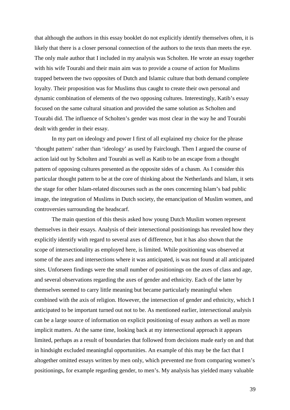that although the authors in this essay booklet do not explicitly identify themselves often, it is likely that there is a closer personal connection of the authors to the texts than meets the eye. The only male author that I included in my analysis was Scholten. He wrote an essay together with his wife Tourabi and their main aim was to provide a course of action for Muslims trapped between the two opposites of Dutch and Islamic culture that both demand complete loyalty. Their proposition was for Muslims thus caught to create their own personal and dynamic combination of elements of the two opposing cultures. Interestingly, Katib's essay focused on the same cultural situation and provided the same solution as Scholten and Tourabi did. The influence of Scholten's gender was most clear in the way he and Tourabi dealt with gender in their essay.

 In my part on ideology and power I first of all explained my choice for the phrase 'thought pattern' rather than 'ideology' as used by Fairclough. Then I argued the course of action laid out by Scholten and Tourabi as well as Katib to be an escape from a thought pattern of opposing cultures presented as the opposite sides of a chasm. As I consider this particular thought pattern to be at the core of thinking about the Netherlands and Islam, it sets the stage for other Islam-related discourses such as the ones concerning Islam's bad public image, the integration of Muslims in Dutch society, the emancipation of Muslim women, and controversies surrounding the headscarf.

 The main question of this thesis asked how young Dutch Muslim women represent themselves in their essays. Analysis of their intersectional positionings has revealed how they explicitly identify with regard to several axes of difference, but it has also shown that the scope of intersectionality as employed here, is limited. While positioning was observed at some of the axes and intersections where it was anticipated, is was not found at all anticipated sites. Unforseen findings were the small number of positionings on the axes of class and age, and several observations regarding the axes of gender and ethnicity. Each of the latter by themselves seemed to carry little meaning but became particularly meaningful when combined with the axis of religion. However, the intersection of gender and ethnicity, which I anticipated to be important turned out not to be. As mentioned earlier, intersectional analysis can be a large source of information on explicit positioning of essay authors as well as more implicit matters. At the same time, looking back at my intersectional approach it appears limited, perhaps as a result of boundaries that followed from decisions made early on and that in hindsight excluded meaningful opportunities. An example of this may be the fact that I altogether omitted essays written by men only, which prevented me from comparing women's positionings, for example regarding gender, to men's. My analysis has yielded many valuable

39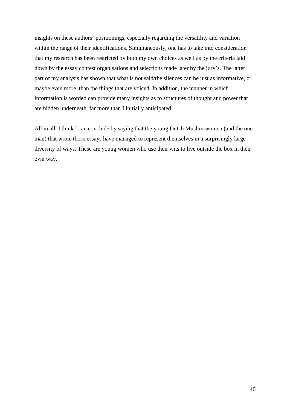insights on these authors' positionings, especially regarding the versatility and variation within the range of their identifications. Simultaneously, one has to take into consideration that my research has been restricted by both my own choices as well as by the criteria laid down by the essay contest organisations and selections made later by the jury's. The latter part of my analysis has shown that what is not said/the silences can be just as informative, or maybe even more, than the things that are voiced. In addition, the manner in which information is worded can provide many insights as to structures of thought and power that are hidden underneath, far more than I initially anticipated.

All in all, I think I can conclude by saying that the young Dutch Muslim women (and the one man) that wrote those essays have managed to represent themselves in a surprisingly large diversity of ways. These are young women who use their wits to live outside the box in their own way.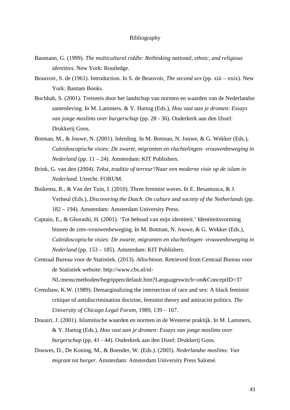#### Bibliography

- Baumann, G. (1999). *The multicultural riddle: Rethinking national, ethnic, and religious identities.* New York: Routledge.
- Beauvoir, S. de (1961). Introduction. In S. de Beauvoir, *The second sex* (pp. xiii xxix). New York: Bantam Books.
- Bochhah, S. (2001). Treinreis door het landschap van normen en waarden van de Nederlandse samenleving. In M. Lammers, & Y. Hartog (Eds.), *Hou vast aan je dromen: Essays van jonge moslims over burgerschap* (pp. 28 - 36). Ouderkerk aan den IJssel: Drukkerij Goos.
- Botman, M., & Jouwe, N. (2001). Inleiding. In M. Botman, N. Jouwe, & G. Wekker (Eds.), *Caleidoscopische visies: De zwarte, migranten en vluchtelingen- vrouwenbeweging in Nederland* (pp. 11 – 24). Amsterdam: KIT Publishers.
- Brink, G. van den (2004). *Tekst, traditie of terreur?Naar een moderne visie op de islam in Nederland*. Utrecht: FORUM.
- Buikema, R., & Van der Tuin, I. (2010). Three feminist waves. In E. Besamusca, & J. Verheul (Eds.), *Discovering the Dutch. On culture and society of the Netherlands* (pp. 182 – 194). Amsterdam: Amsterdam University Press.
- Captain, E., & Ghorashi, H. (2001). 'Tot behoud van mijn identiteit.' Identiteitsvorming binnen de zmv-vrouwenbeweging. In M. Botman, N. Jouwe, & G. Wekker (Eds.), *Caleidoscopische visies: De zwarte, migranten en vluchtelingen- vrouwenbeweging in Nederland* (pp. 153 – 185). Amsterdam: KIT Publishers.
- Centraal Bureau voor de Statistiek. (2013). *Allochtoon.* Retrieved from Centraal Bureau voor de Statistiek website: http://www.cbs.nl/nl-

NL/menu/methoden/begrippen/default.htm?Languageswitch=on&ConceptID=37

- Crenshaw, K.W. (1989). Demarginalizing the intersection of race and sex: A black feminist critique of antidiscrimination doctrine, feminist theory and antiracist politics. *The University of Chicago Legal Forum,* 1989, 139 – 167.
- Douairi, J. (2001). Islamitische waarden en normen in de Westerse praktijk. In M. Lammers, & Y. Hartog (Eds.), *Hou vast aan je dromen: Essays van jonge moslims over burgerschap* (pp. 41 - 44). Ouderkerk aan den IJssel: Drukkerij Goos.
- Douwes, D., De Koning, M., & Boender, W. (Eds.). (2005). *Nederlandse moslims: Van migrant tot burger.* Amsterdam: Amsterdam University Press Salomé.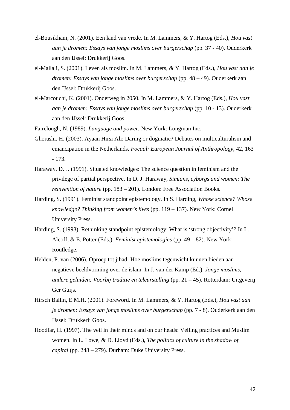- el-Bousikhani, N. (2001). Een land van vrede. In M. Lammers, & Y. Hartog (Eds.), *Hou vast aan je dromen: Essays van jonge moslims over burgerschap* (pp. 37 - 40). Ouderkerk aan den IJssel: Drukkerij Goos.
- el-Mallali, S. (2001). Leven als moslim. In M. Lammers, & Y. Hartog (Eds.), *Hou vast aan je dromen: Essays van jonge moslims over burgerschap* (pp. 48 – 49). Ouderkerk aan den IJssel: Drukkerij Goos.
- el-Marcouchi, K. (2001). Onderweg in 2050. In M. Lammers, & Y. Hartog (Eds.), *Hou vast aan je dromen: Essays van jonge moslims over burgerschap* (pp. 10 - 13). Ouderkerk aan den IJssel: Drukkerij Goos.
- Fairclough, N. (1989). *Language and power.* New York: Longman Inc.
- Ghorashi, H. (2003). Ayaan Hirsi Ali: Daring or dogmatic? Debates on multiculturalism and emancipation in the Netherlands. *Focaal: European Journal of Anthropology*, 42, 163 - 173.
- Haraway, D. J. (1991). Situated knowledges: The science question in feminism and the privilege of partial perspective. In D. J. Haraway, *Simians, cyborgs and women: The reinvention of nature* (pp. 183 – 201). London: Free Association Books.
- Harding, S. (1991). Feminist standpoint epistemology. In S. Harding, *Whose science? Whose knowledge? Thinking from women's lives* (pp. 119 – 137). New York: Cornell University Press.
- Harding, S. (1993). Rethinking standpoint epistemology: What is 'strong objectivity'? In L. Alcoff, & E. Potter (Eds.), *Feminist epistemologies* (pp. 49 – 82). New York: Routledge.
- Helden, P. van (2006). Oproep tot jihad: Hoe moslims tegenwicht kunnen bieden aan negatieve beeldvorming over de islam. In J. van der Kamp (Ed.), *Jonge moslims, andere geluiden: Voorbij traditie en teleurstelling* (pp. 21 – 45). Rotterdam: Uitgeverij Ger Guijs.
- Hirsch Ballin, E.M.H. (2001). Foreword. In M. Lammers, & Y. Hartog (Eds.), *Hou vast aan je dromen: Essays van jonge moslims over burgerschap* (pp. 7 - 8). Ouderkerk aan den IJssel: Drukkerij Goos.
- Hoodfar, H. (1997). The veil in their minds and on our heads: Veiling practices and Muslim women. In L. Lowe, & D. Lloyd (Eds.), *The politics of culture in the shadow of capital* (pp. 248 – 279). Durham: Duke University Press.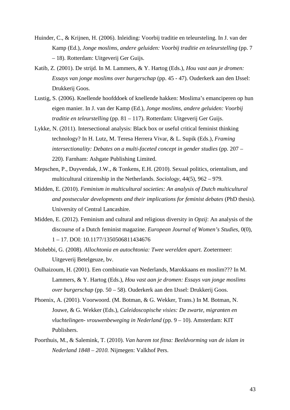- Huinder, C., & Krijnen, H. (2006). Inleiding: Voorbij traditie en teleursteling. In J. van der Kamp (Ed.), *Jonge moslims, andere geluiden: Voorbij traditie en teleurstelling* (pp. 7 – 18). Rotterdam: Uitgeverij Ger Guijs.
- Katib, Z. (2001). De strijd. In M. Lammers, & Y. Hartog (Eds.), *Hou vast aan je dromen: Essays van jonge moslims over burgerschap* (pp. 45 - 47). Ouderkerk aan den IJssel: Drukkerij Goos.
- Lustig, S. (2006). Knellende hoofddoek of knellende hakken: Moslima's emanciperen op hun eigen manier. In J. van der Kamp (Ed.), *Jonge moslims, andere geluiden: Voorbij traditie en teleurstelling* (pp. 81 – 117). Rotterdam: Uitgeverij Ger Guijs.
- Lykke, N. (2011). Intersectional analysis: Black box or useful critical feminist thinking technology? In H. Lutz, M. Teresa Herrera Vivar, & L. Supik (Eds.), *Framing intersectionality: Debates on a multi-faceted concept in gender studies* (pp. 207 – 220). Farnham: Ashgate Publishing Limited.
- Mepschen, P., Duyvendak, J.W., & Tonkens, E.H. (2010). Sexual politics, orientalism, and multicultural citizenship in the Netherlands. *Sociology,* 44(5), 962 – 979.
- Midden, E. (2010). *Feminism in multicultural societies: An analysis of Dutch multicultural and postsecular developments and their implications for feminist debates* (PhD thesis). University of Central Lancashire.
- Midden, E. (2012). Feminism and cultural and religious diversity in *Opzij*: An analysis of the discourse of a Dutch feminist magazine. *European Journal of Women's Studies,* 0(0), 1 – 17. DOI: 10.1177/1350506811434676
- Mohebbi, G. (2008). *Allochtonia en autochtonia: Twee werelden apart.* Zoetermeer: Uitgeverij Betelgeuze, bv.
- Oulhaizoum, H. (2001). Een combinatie van Nederlands, Marokkaans en moslim??? In M. Lammers, & Y. Hartog (Eds.), *Hou vast aan je dromen: Essays van jonge moslims over burgerschap* (pp. 50 – 58). Ouderkerk aan den IJssel: Drukkerij Goos.
- Phoenix, A. (2001). Voorwoord. (M. Botman, & G. Wekker, Trans.) In M. Botman, N. Jouwe, & G. Wekker (Eds.), *Caleidoscopische visies: De zwarte, migranten en vluchtelingen- vrouwenbeweging in Nederland* (pp. 9 – 10). Amsterdam: KIT Publishers.
- Poorthuis, M., & Salemink, T. (2010). *Van harem tot fitna: Beeldvorming van de islam in Nederland 1848 – 2010.* Nijmegen: Valkhof Pers.